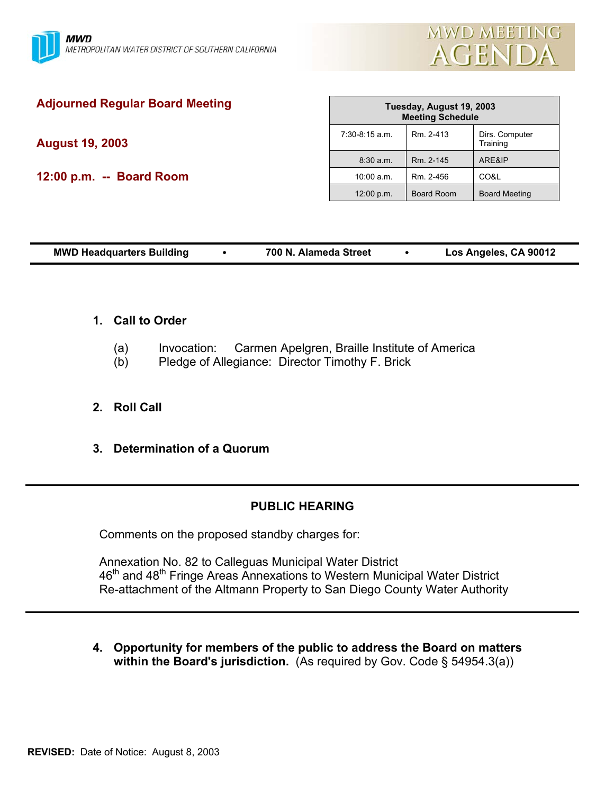

| <b>Adjourned Regular Board Meeting</b> | Tuesday, August 19, 2003<br><b>Meeting Schedule</b> |            |                            |
|----------------------------------------|-----------------------------------------------------|------------|----------------------------|
| <b>August 19, 2003</b>                 | $7:30-8:15$ a.m.                                    | Rm. 2-413  | Dirs. Computer<br>Training |
|                                        | $8:30$ a.m.                                         | Rm. 2-145  | ARE&IP                     |
| 12:00 p.m. -- Board Room               | 10:00 a.m.                                          | Rm. 2-456  | CO&L                       |
|                                        | 12:00 p.m.                                          | Board Room | <b>Board Meeting</b>       |
|                                        |                                                     |            |                            |

| <b>MWD Headquarters Building</b> |  | 700 N. Alameda Street |  | Los Angeles, CA 90012 |
|----------------------------------|--|-----------------------|--|-----------------------|
|----------------------------------|--|-----------------------|--|-----------------------|

## **1. Call to Order**

- (a) Invocation: Carmen Apelgren, Braille Institute of America
- (b) Pledge of Allegiance: Director Timothy F. Brick

# **2. Roll Call**

**3. Determination of a Quorum**

# **PUBLIC HEARING**

Comments on the proposed standby charges for:

Annexation No. 82 to Calleguas Municipal Water District 46<sup>th</sup> and 48<sup>th</sup> Fringe Areas Annexations to Western Municipal Water District Re-attachment of the Altmann Property to San Diego County Water Authority

**4. Opportunity for members of the public to address the Board on matters within the Board's jurisdiction.** (As required by Gov. Code § 54954.3(a))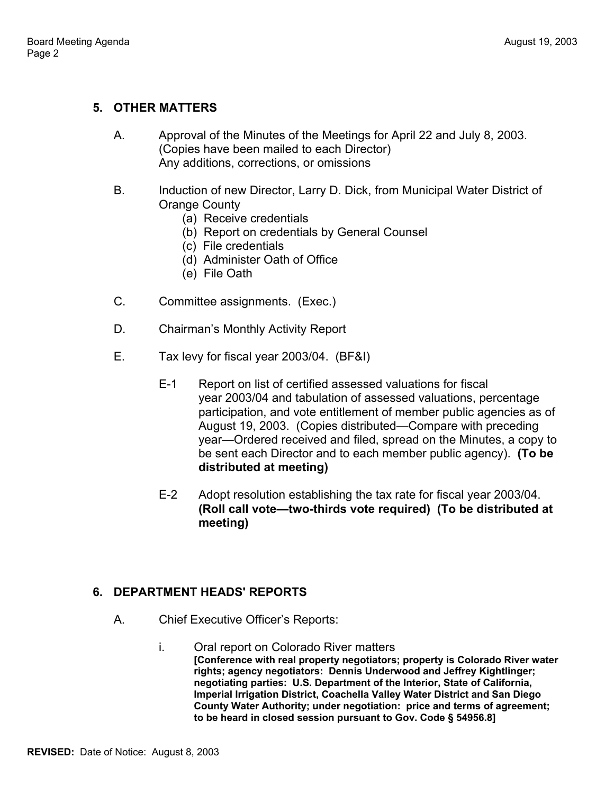# **5. OTHER MATTERS**

- A. Approval of the Minutes of the Meetings for April 22 and July 8, 2003. (Copies have been mailed to each Director) Any additions, corrections, or omissions
- B. Induction of new Director, Larry D. Dick, from Municipal Water District of Orange County
	- (a) Receive credentials
	- (b) Report on credentials by General Counsel
	- (c) File credentials
	- (d) Administer Oath of Office
	- (e) File Oath
- C. Committee assignments. (Exec.)
- D. Chairman's Monthly Activity Report
- E. Tax levy for fiscal year 2003/04. (BF&I)
	- E-1 Report on list of certified assessed valuations for fiscal year 2003/04 and tabulation of assessed valuations, percentage participation, and vote entitlement of member public agencies as of August 19, 2003. (Copies distributed—Compare with preceding year—Ordered received and filed, spread on the Minutes, a copy to be sent each Director and to each member public agency). **(To be distributed at meeting)**
	- E-2 Adopt resolution establishing the tax rate for fiscal year 2003/04. **(Roll call vote—two-thirds vote required) (To be distributed at meeting)**

### **6. DEPARTMENT HEADS' REPORTS**

- A. Chief Executive Officer's Reports:
	- i. Oral report on Colorado River matters **[Conference with real property negotiators; property is Colorado River water rights; agency negotiators: Dennis Underwood and Jeffrey Kightlinger; negotiating parties: U.S. Department of the Interior, State of California, Imperial Irrigation District, Coachella Valley Water District and San Diego County Water Authority; under negotiation: price and terms of agreement; to be heard in closed session pursuant to Gov. Code § 54956.8]**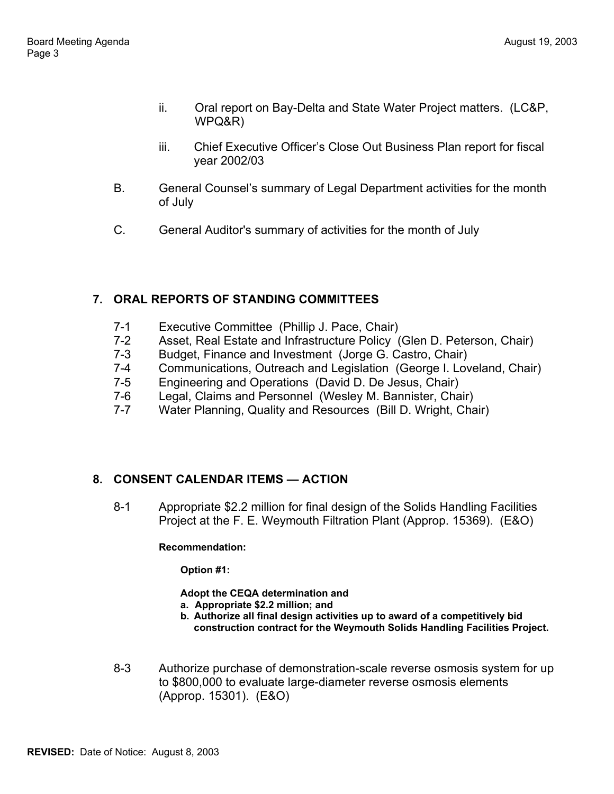- ii. Oral report on Bay-Delta and State Water Project matters. (LC&P, WPQ&R)
- iii. Chief Executive Officer's Close Out Business Plan report for fiscal year 2002/03
- B. General Counsel's summary of Legal Department activities for the month of July
- C. General Auditor's summary of activities for the month of July

# **7. ORAL REPORTS OF STANDING COMMITTEES**

- 7-1 Executive Committee (Phillip J. Pace, Chair)
- 7-2 Asset, Real Estate and Infrastructure Policy (Glen D. Peterson, Chair)
- 7-3 Budget, Finance and Investment (Jorge G. Castro, Chair)
- 7-4 Communications, Outreach and Legislation (George I. Loveland, Chair)
- 7-5 Engineering and Operations (David D. De Jesus, Chair)
- 7-6 Legal, Claims and Personnel (Wesley M. Bannister, Chair)
- 7-7 Water Planning, Quality and Resources (Bill D. Wright, Chair)

# **8. CONSENT CALENDAR ITEMS — ACTION**

8-1 Appropriate \$2.2 million for final design of the Solids Handling Facilities Project at the F. E. Weymouth Filtration Plant (Approp. 15369). (E&O)

### **Recommendation:**

**Option #1:** 

**Adopt the CEQA determination and**

- **a. Appropriate \$2.2 million; and**
- **b. Authorize all final design activities up to award of a competitively bid construction contract for the Weymouth Solids Handling Facilities Project.**
- 8-3 Authorize purchase of demonstration-scale reverse osmosis system for up to \$800,000 to evaluate large-diameter reverse osmosis elements (Approp. 15301). (E&O)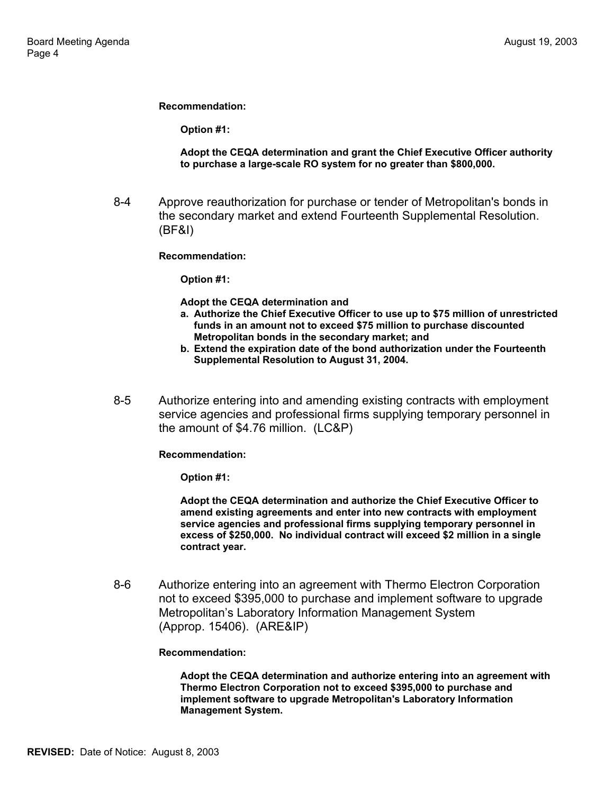**Recommendation:** 

**Option #1:** 

#### **Adopt the CEQA determination and grant the Chief Executive Officer authority to purchase a large-scale RO system for no greater than \$800,000.**

8-4 Approve reauthorization for purchase or tender of Metropolitan's bonds in the secondary market and extend Fourteenth Supplemental Resolution. (BF&I)

#### **Recommendation:**

**Option #1:** 

**Adopt the CEQA determination and**

- **a. Authorize the Chief Executive Officer to use up to \$75 million of unrestricted funds in an amount not to exceed \$75 million to purchase discounted Metropolitan bonds in the secondary market; and**
- **b. Extend the expiration date of the bond authorization under the Fourteenth Supplemental Resolution to August 31, 2004.**
- 8-5 Authorize entering into and amending existing contracts with employment service agencies and professional firms supplying temporary personnel in the amount of \$4.76 million. (LC&P)

**Recommendation:** 

**Option #1:** 

**Adopt the CEQA determination and authorize the Chief Executive Officer to amend existing agreements and enter into new contracts with employment service agencies and professional firms supplying temporary personnel in excess of \$250,000. No individual contract will exceed \$2 million in a single contract year.** 

8-6 Authorize entering into an agreement with Thermo Electron Corporation not to exceed \$395,000 to purchase and implement software to upgrade Metropolitan's Laboratory Information Management System (Approp. 15406). (ARE&IP)

#### **Recommendation:**

**Adopt the CEQA determination and authorize entering into an agreement with Thermo Electron Corporation not to exceed \$395,000 to purchase and implement software to upgrade Metropolitan's Laboratory Information Management System.**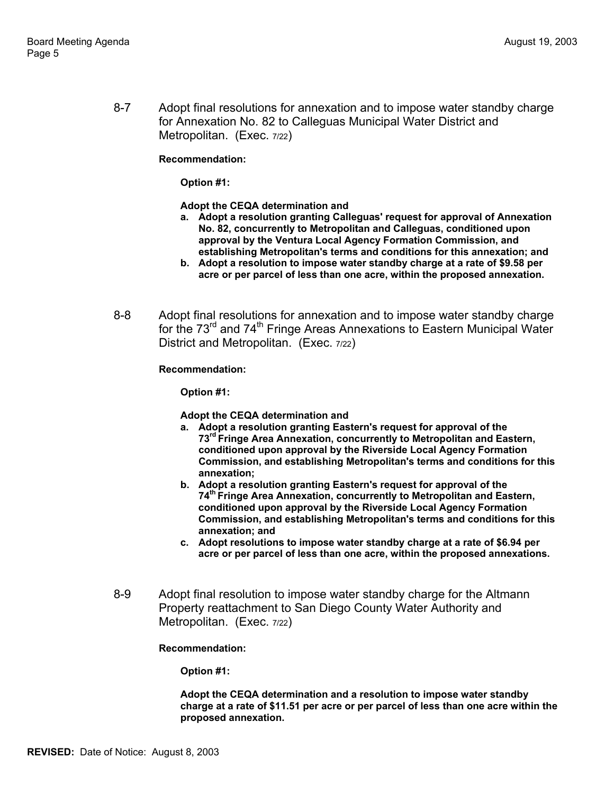8-7 Adopt final resolutions for annexation and to impose water standby charge for Annexation No. 82 to Calleguas Municipal Water District and Metropolitan. (Exec. 7/22)

#### **Recommendation:**

**Option #1:** 

**Adopt the CEQA determination and**

- **a. Adopt a resolution granting Calleguas' request for approval of Annexation No. 82, concurrently to Metropolitan and Calleguas, conditioned upon approval by the Ventura Local Agency Formation Commission, and establishing Metropolitan's terms and conditions for this annexation; and**
- **b. Adopt a resolution to impose water standby charge at a rate of \$9.58 per acre or per parcel of less than one acre, within the proposed annexation.**
- 8-8 Adopt final resolutions for annexation and to impose water standby charge for the 73<sup>rd</sup> and 74<sup>th</sup> Fringe Areas Annexations to Eastern Municipal Water District and Metropolitan. (Exec. 7/22)

#### **Recommendation:**

**Option #1:** 

#### **Adopt the CEQA determination and**

- **a. Adopt a resolution granting Eastern's request for approval of the 73rd Fringe Area Annexation, concurrently to Metropolitan and Eastern, conditioned upon approval by the Riverside Local Agency Formation Commission, and establishing Metropolitan's terms and conditions for this annexation;**
- **b. Adopt a resolution granting Eastern's request for approval of the 74th Fringe Area Annexation, concurrently to Metropolitan and Eastern, conditioned upon approval by the Riverside Local Agency Formation Commission, and establishing Metropolitan's terms and conditions for this annexation; and**
- **c. Adopt resolutions to impose water standby charge at a rate of \$6.94 per acre or per parcel of less than one acre, within the proposed annexations.**
- 8-9 Adopt final resolution to impose water standby charge for the Altmann Property reattachment to San Diego County Water Authority and Metropolitan. (Exec. 7/22)

#### **Recommendation:**

**Option #1:** 

**Adopt the CEQA determination and a resolution to impose water standby charge at a rate of \$11.51 per acre or per parcel of less than one acre within the proposed annexation.**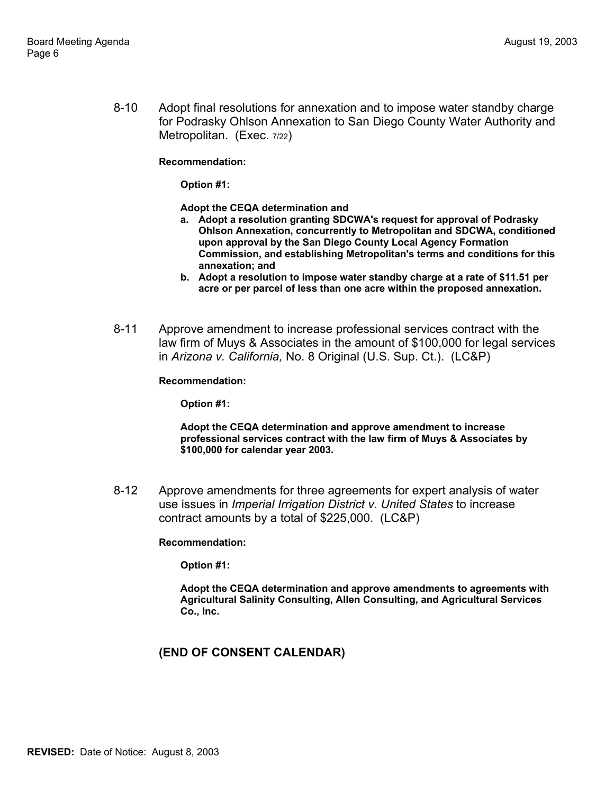8-10 Adopt final resolutions for annexation and to impose water standby charge for Podrasky Ohlson Annexation to San Diego County Water Authority and Metropolitan. (Exec. 7/22)

**Recommendation:** 

**Option #1:** 

**Adopt the CEQA determination and**

- **a. Adopt a resolution granting SDCWA's request for approval of Podrasky Ohlson Annexation, concurrently to Metropolitan and SDCWA, conditioned upon approval by the San Diego County Local Agency Formation Commission, and establishing Metropolitan's terms and conditions for this annexation; and**
- **b. Adopt a resolution to impose water standby charge at a rate of \$11.51 per acre or per parcel of less than one acre within the proposed annexation.**
- 8-11 Approve amendment to increase professional services contract with the law firm of Muys & Associates in the amount of \$100,000 for legal services in *Arizona v. California,* No. 8 Original (U.S. Sup. Ct.). (LC&P)

**Recommendation:** 

**Option #1:** 

**Adopt the CEQA determination and approve amendment to increase professional services contract with the law firm of Muys & Associates by \$100,000 for calendar year 2003.** 

8-12 Approve amendments for three agreements for expert analysis of water use issues in *Imperial Irrigation District v. United States* to increase contract amounts by a total of \$225,000. (LC&P)

**Recommendation:** 

**Option #1:** 

**Adopt the CEQA determination and approve amendments to agreements with Agricultural Salinity Consulting, Allen Consulting, and Agricultural Services Co., Inc.** 

## **(END OF CONSENT CALENDAR)**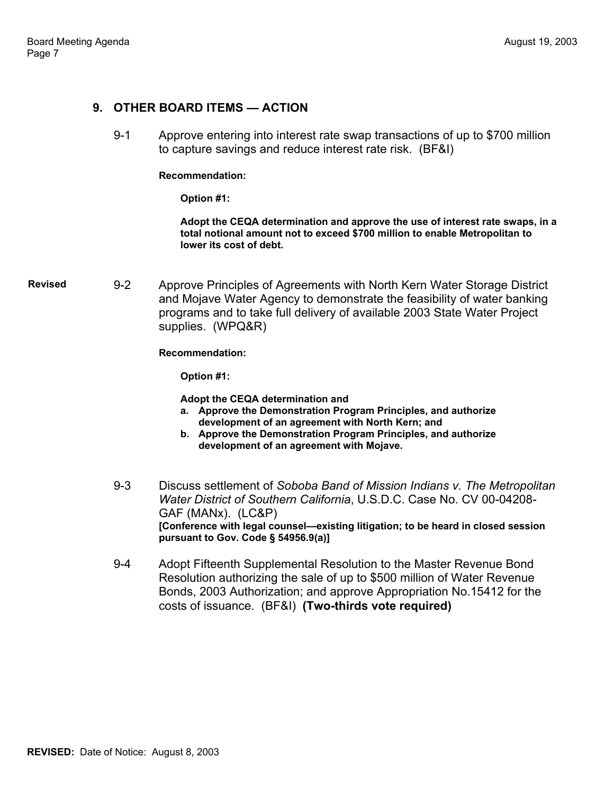### **9. OTHER BOARD ITEMS — ACTION**

9-1 Approve entering into interest rate swap transactions of up to \$700 million to capture savings and reduce interest rate risk. (BF&I)

#### **Recommendation:**

**Option #1:** 

**Adopt the CEQA determination and approve the use of interest rate swaps, in a total notional amount not to exceed \$700 million to enable Metropolitan to lower its cost of debt.** 

**Revised** 9-2 Approve Principles of Agreements with North Kern Water Storage District and Mojave Water Agency to demonstrate the feasibility of water banking programs and to take full delivery of available 2003 State Water Project supplies. (WPQ&R)

**Recommendation:** 

**Option #1:** 

**Adopt the CEQA determination and**

- **a. Approve the Demonstration Program Principles, and authorize development of an agreement with North Kern; and**
- **b. Approve the Demonstration Program Principles, and authorize development of an agreement with Mojave.**
- 9-3 Discuss settlement of *Soboba Band of Mission Indians v. The Metropolitan Water District of Southern California*, U.S.D.C. Case No. CV 00-04208- GAF (MANx). (LC&P) **[Conference with legal counsel—existing litigation; to be heard in closed session pursuant to Gov. Code § 54956.9(a)]**
- 9-4 Adopt Fifteenth Supplemental Resolution to the Master Revenue Bond Resolution authorizing the sale of up to \$500 million of Water Revenue Bonds, 2003 Authorization; and approve Appropriation No.15412 for the costs of issuance. (BF&I) **(Two-thirds vote required)**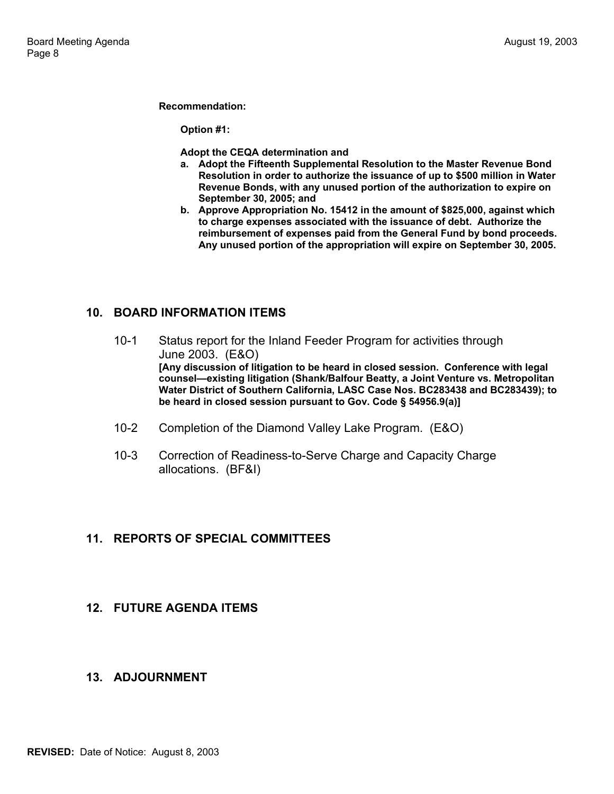#### **Recommendation:**

**Option #1:** 

**Adopt the CEQA determination and**

- **a. Adopt the Fifteenth Supplemental Resolution to the Master Revenue Bond Resolution in order to authorize the issuance of up to \$500 million in Water Revenue Bonds, with any unused portion of the authorization to expire on September 30, 2005; and**
- **b. Approve Appropriation No. 15412 in the amount of \$825,000, against which to charge expenses associated with the issuance of debt. Authorize the reimbursement of expenses paid from the General Fund by bond proceeds. Any unused portion of the appropriation will expire on September 30, 2005.**

## **10. BOARD INFORMATION ITEMS**

- 10-1 Status report for the Inland Feeder Program for activities through June 2003. (E&O) **[Any discussion of litigation to be heard in closed session. Conference with legal counsel—existing litigation (Shank/Balfour Beatty, a Joint Venture vs. Metropolitan Water District of Southern California, LASC Case Nos. BC283438 and BC283439); to be heard in closed session pursuant to Gov. Code § 54956.9(a)]**
- 10-2 Completion of the Diamond Valley Lake Program. (E&O)
- 10-3 Correction of Readiness-to-Serve Charge and Capacity Charge allocations. (BF&I)

### **11. REPORTS OF SPECIAL COMMITTEES**

## **12. FUTURE AGENDA ITEMS**

### **13. ADJOURNMENT**